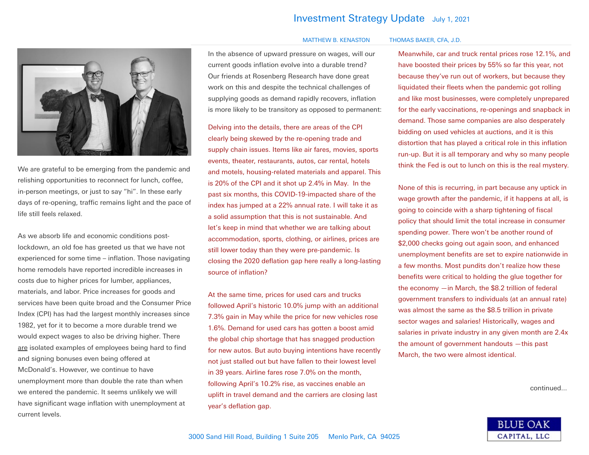## Investment Strategy Update July 1, <sup>2021</sup>



We are grateful to be emerging from the pandemic and relishing opportunities to reconnect for lunch, coffee, in-person meetings, or just to say "hi". In these early days of re-opening, traffic remains light and the pace of life still feels relaxed.

As we absorb life and economic conditions postlockdown, an old foe has greeted us that we have not experienced for some time – inflation. Those navigating home remodels have reported incredible increases in costs due to higher prices for lumber, appliances, materials, and labor. Price increases for goods and services have been quite broad and the Consumer Price Index (CPI) has had the largest monthly increases since 1982, yet for it to become a more durable trend we would expect wages to also be driving higher. There are isolated examples of employees being hard to find and signing bonuses even being offered at McDonald's. However, we continue to have unemployment more than double the rate than when we entered the pandemic. It seems unlikely we will have significant wage inflation with unemployment at current levels.

In the absence of upward pressure on wages, will our current goods inflation evolve into a durable trend? Our friends at Rosenberg Research have done great work on this and despite the technical challenges of supplying goods as demand rapidly recovers, inflation is more likely to be transitory as opposed to permanent:

Delving into the details, there are areas of the CPI clearly being skewed by the re-opening trade and supply chain issues. Items like air fares, movies, sports events, theater, restaurants, autos, car rental, hotels and motels, housing-related materials and apparel. This is 20% of the CPI and it shot up 2.4% in May. In the past six months, this COVID-19-impacted share of the index has jumped at a 22% annual rate. I will take it as a solid assumption that this is not sustainable. And let's keep in mind that whether we are talking about accommodation, sports, clothing, or airlines, prices are still lower today than they were pre-pandemic. Is closing the 2020 deflation gap here really a long-lasting source of inflation?

At the same time, prices for used cars and trucks followed April's historic 10.0% jump with an additional 7.3% gain in May while the price for new vehicles rose 1.6%. Demand for used cars has gotten a boost amid the global chip shortage that has snagged production for new autos. But auto buying intentions have recently not just stalled out but have fallen to their lowest level in 39 years. Airline fares rose 7.0% on the month, following April's 10.2% rise, as vaccines enable an uplift in travel demand and the carriers are closing last year's deflation gap.

## MATTHEW B. KENASTON THOMAS BAKER, CFA, J.D.

## Meanwhile, car and truck rental prices rose 12.1%, and have boosted their prices by 55% so far this year, not because they've run out of workers, but because they liquidated their fleets when the pandemic got rolling and like most businesses, were completely unprepared for the early vaccinations, re-openings and snapback in demand. Those same companies are also desperately bidding on used vehicles at auctions, and it is this distortion that has played a critical role in this inflation run-up. But it is all temporary and why so many people think the Fed is out to lunch on this is the real mystery.

None of this is recurring, in part because any uptick in wage growth after the pandemic, if it happens at all, is going to coincide with a sharp tightening of fiscal policy that should limit the total increase in consumer spending power. There won't be another round of \$2,000 checks going out again soon, and enhanced unemployment benefits are set to expire nationwide in a few months. Most pundits don't realize how these benefits were critical to holding the glue together for the economy —in March, the \$8.2 trillion of federal government transfers to individuals (at an annual rate) was almost the same as the \$8.5 trillion in private sector wages and salaries! Historically, wages and salaries in private industry in any given month are 2.4x the amount of government handouts —this past March, the two were almost identical.

continued...